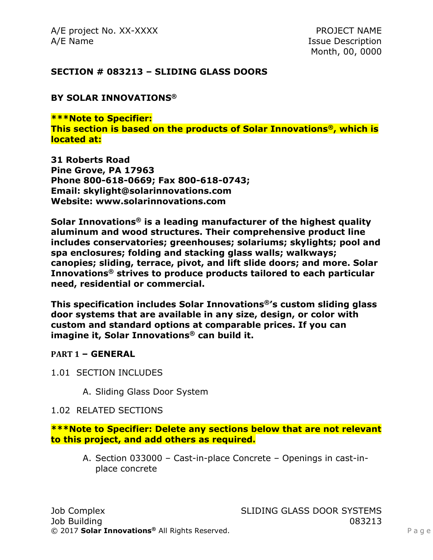A/E project No. XX-XXXX PROJECT NAME A/E Name Issue Description

Month, 00, 0000

### **SECTION # 083213 – SLIDING GLASS DOORS**

### **BY SOLAR INNOVATIONS®**

**\*\*\*Note to Specifier: This section is based on the products of Solar Innovations®, which is located at:**

**31 Roberts Road Pine Grove, PA 17963 Phone 800-618-0669; Fax 800-618-0743; Email: skylight@solarinnovations.com Website: www.solarinnovations.com**

**Solar Innovations® is a leading manufacturer of the highest quality aluminum and wood structures. Their comprehensive product line includes conservatories; greenhouses; solariums; skylights; pool and spa enclosures; folding and stacking glass walls; walkways; canopies; sliding, terrace, pivot, and lift slide doors; and more. Solar Innovations® strives to produce products tailored to each particular need, residential or commercial.**

**This specification includes Solar Innovations®'s custom sliding glass door systems that are available in any size, design, or color with custom and standard options at comparable prices. If you can imagine it, Solar Innovations® can build it.**

### **PART 1 – GENERAL**

- 1.01 SECTION INCLUDES
	- A. Sliding Glass Door System

### 1.02 RELATED SECTIONS

**\*\*\*Note to Specifier: Delete any sections below that are not relevant to this project, and add others as required.**

A. Section 033000 – Cast-in-place Concrete – Openings in cast-inplace concrete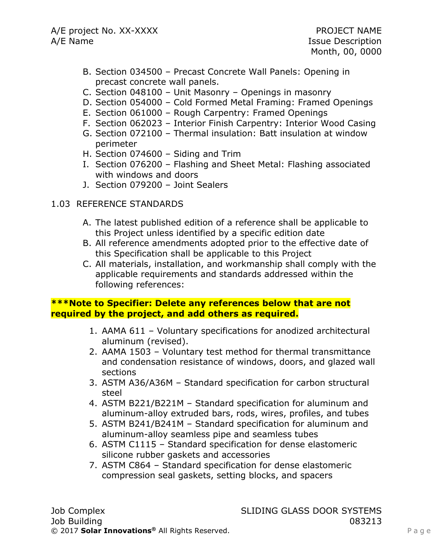- B. Section 034500 Precast Concrete Wall Panels: Opening in precast concrete wall panels.
- C. Section 048100 Unit Masonry Openings in masonry
- D. Section 054000 Cold Formed Metal Framing: Framed Openings
- E. Section 061000 Rough Carpentry: Framed Openings
- F. Section 062023 Interior Finish Carpentry: Interior Wood Casing
- G. Section 072100 Thermal insulation: Batt insulation at window perimeter
- H. Section 074600 Siding and Trim
- I. Section 076200 Flashing and Sheet Metal: Flashing associated with windows and doors
- J. Section 079200 Joint Sealers
- 1.03 REFERENCE STANDARDS
	- A. The latest published edition of a reference shall be applicable to this Project unless identified by a specific edition date
	- B. All reference amendments adopted prior to the effective date of this Specification shall be applicable to this Project
	- C. All materials, installation, and workmanship shall comply with the applicable requirements and standards addressed within the following references:

## **\*\*\*Note to Specifier: Delete any references below that are not required by the project, and add others as required.**

- 1. AAMA 611 Voluntary specifications for anodized architectural aluminum (revised).
- 2. AAMA 1503 Voluntary test method for thermal transmittance and condensation resistance of windows, doors, and glazed wall sections
- 3. ASTM A36/A36M Standard specification for carbon structural steel
- 4. ASTM B221/B221M Standard specification for aluminum and aluminum-alloy extruded bars, rods, wires, profiles, and tubes
- 5. ASTM B241/B241M Standard specification for aluminum and aluminum-alloy seamless pipe and seamless tubes
- 6. ASTM C1115 Standard specification for dense elastomeric silicone rubber gaskets and accessories
- 7. ASTM C864 Standard specification for dense elastomeric compression seal gaskets, setting blocks, and spacers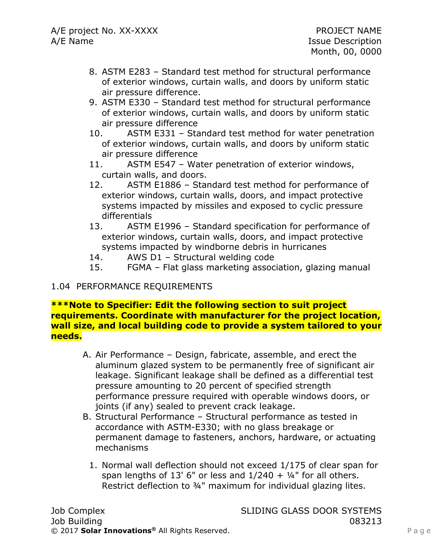- 8. ASTM E283 Standard test method for structural performance of exterior windows, curtain walls, and doors by uniform static air pressure difference.
- 9. ASTM E330 Standard test method for structural performance of exterior windows, curtain walls, and doors by uniform static air pressure difference
- 10. ASTM E331 Standard test method for water penetration of exterior windows, curtain walls, and doors by uniform static air pressure difference
- 11. ASTM E547 Water penetration of exterior windows, curtain walls, and doors.
- 12. ASTM E1886 Standard test method for performance of exterior windows, curtain walls, doors, and impact protective systems impacted by missiles and exposed to cyclic pressure differentials
- 13. ASTM E1996 Standard specification for performance of exterior windows, curtain walls, doors, and impact protective systems impacted by windborne debris in hurricanes
- 14. AWS D1 Structural welding code
- 15. FGMA Flat glass marketing association, glazing manual

### 1.04 PERFORMANCE REQUIREMENTS

### **\*\*\*Note to Specifier: Edit the following section to suit project requirements. Coordinate with manufacturer for the project location, wall size, and local building code to provide a system tailored to your needs.**

- A. Air Performance Design, fabricate, assemble, and erect the aluminum glazed system to be permanently free of significant air leakage. Significant leakage shall be defined as a differential test pressure amounting to 20 percent of specified strength performance pressure required with operable windows doors, or joints (if any) sealed to prevent crack leakage.
- B. Structural Performance Structural performance as tested in accordance with ASTM-E330; with no glass breakage or permanent damage to fasteners, anchors, hardware, or actuating mechanisms
	- 1. Normal wall deflection should not exceed 1/175 of clear span for span lengths of 13' 6" or less and  $1/240 + 1/4$ " for all others. Restrict deflection to ¾" maximum for individual glazing lites.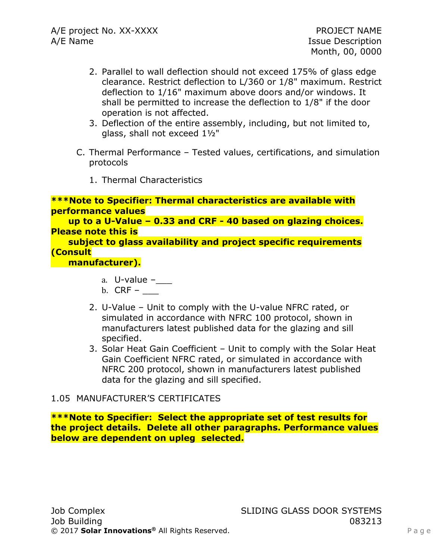- 2. Parallel to wall deflection should not exceed 175% of glass edge clearance. Restrict deflection to L/360 or 1/8" maximum. Restrict deflection to 1/16" maximum above doors and/or windows. It shall be permitted to increase the deflection to 1/8" if the door operation is not affected.
- 3. Deflection of the entire assembly, including, but not limited to, glass, shall not exceed 1½"
- C. Thermal Performance Tested values, certifications, and simulation protocols
	- 1. Thermal Characteristics

```
***Note to Specifier: Thermal characteristics are available with 
performance values
```
 **up to a U-Value – 0.33 and CRF - 40 based on glazing choices. Please note this is** 

 **subject to glass availability and project specific requirements (Consult** 

 **manufacturer).**

- a. U-value –
- b.  $CRF -$
- 2. U-Value Unit to comply with the U-value NFRC rated, or simulated in accordance with NFRC 100 protocol, shown in manufacturers latest published data for the glazing and sill specified.
- 3. Solar Heat Gain Coefficient Unit to comply with the Solar Heat Gain Coefficient NFRC rated, or simulated in accordance with NFRC 200 protocol, shown in manufacturers latest published data for the glazing and sill specified.

## 1.05 MANUFACTURER'S CERTIFICATES

**\*\*\*Note to Specifier: Select the appropriate set of test results for the project details. Delete all other paragraphs. Performance values below are dependent on upleg selected.**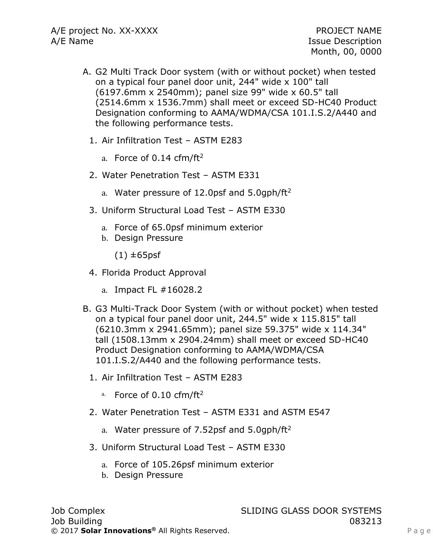- A. G2 Multi Track Door system (with or without pocket) when tested on a typical four panel door unit, 244" wide x 100" tall (6197.6mm x 2540mm); panel size 99" wide x 60.5" tall (2514.6mm x 1536.7mm) shall meet or exceed SD-HC40 Product Designation conforming to AAMA/WDMA/CSA 101.I.S.2/A440 and the following performance tests.
	- 1. Air Infiltration Test ASTM E283
		- a. Force of  $0.14$  cfm/ft<sup>2</sup>
	- 2. Water Penetration Test ASTM E331
		- a. Water pressure of 12.0psf and  $5.0$ gph/ft<sup>2</sup>
	- 3. Uniform Structural Load Test ASTM E330
		- a. Force of 65.0psf minimum exterior
		- b. Design Pressure

 $(1) \pm 65$ psf

- 4. Florida Product Approval
	- a. Impact FL #16028.2
- B. G3 Multi-Track Door System (with or without pocket) when tested on a typical four panel door unit, 244.5" wide x 115.815" tall (6210.3mm x 2941.65mm); panel size 59.375" wide x 114.34" tall (1508.13mm x 2904.24mm) shall meet or exceed SD-HC40 Product Designation conforming to AAMA/WDMA/CSA 101.I.S.2/A440 and the following performance tests.
	- 1. Air Infiltration Test ASTM E283
		- a. Force of  $0.10$  cfm/ft<sup>2</sup>
	- 2. Water Penetration Test ASTM E331 and ASTM E547
		- a. Water pressure of 7.52psf and 5.0qph/ft<sup>2</sup>
	- 3. Uniform Structural Load Test ASTM E330
		- a. Force of 105.26psf minimum exterior
		- b. Design Pressure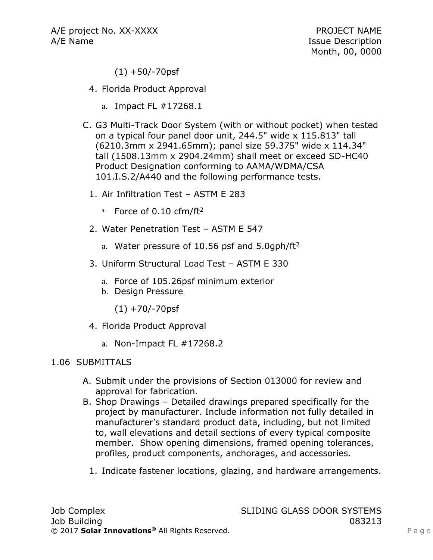$(1) + 50/-70$ psf

- 4. Florida Product Approval
	- a. Impact FL #17268.1
- C. G3 Multi-Track Door System (with or without pocket) when tested on a typical four panel door unit, 244.5" wide x 115.813" tall (6210.3mm x 2941.65mm); panel size 59.375" wide x 114.34" tall (1508.13mm x 2904.24mm) shall meet or exceed SD-HC40 Product Designation conforming to AAMA/WDMA/CSA 101.I.S.2/A440 and the following performance tests.
	- 1. Air Infiltration Test ASTM E 283
		- a. Force of  $0.10$  cfm/ft<sup>2</sup>
	- 2. Water Penetration Test ASTM E 547
		- a. Water pressure of 10.56 psf and  $5.0$ gph/ft<sup>2</sup>
	- 3. Uniform Structural Load Test ASTM E 330
		- a. Force of 105.26psf minimum exterior
		- b. Design Pressure

 $(1) + 70/-70$ psf

- 4. Florida Product Approval
	- a. Non-Impact FL #17268.2

### 1.06 SUBMITTALS

- A. Submit under the provisions of Section 013000 for review and approval for fabrication.
- B. Shop Drawings Detailed drawings prepared specifically for the project by manufacturer. Include information not fully detailed in manufacturer's standard product data, including, but not limited to, wall elevations and detail sections of every typical composite member. Show opening dimensions, framed opening tolerances, profiles, product components, anchorages, and accessories.
	- 1. Indicate fastener locations, glazing, and hardware arrangements.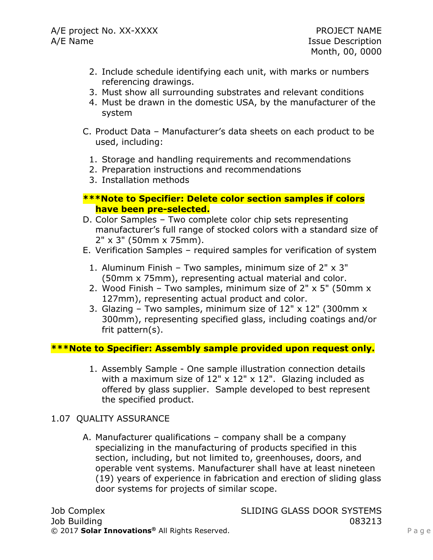- 2. Include schedule identifying each unit, with marks or numbers referencing drawings.
- 3. Must show all surrounding substrates and relevant conditions
- 4. Must be drawn in the domestic USA, by the manufacturer of the system
- C. Product Data Manufacturer's data sheets on each product to be used, including:
	- 1. Storage and handling requirements and recommendations
	- 2. Preparation instructions and recommendations
	- 3. Installation methods

### **\*\*\*Note to Specifier: Delete color section samples if colors have been pre-selected.**

- D. Color Samples Two complete color chip sets representing manufacturer's full range of stocked colors with a standard size of 2" x 3" (50mm x 75mm).
- E. Verification Samples required samples for verification of system
	- 1. Aluminum Finish Two samples, minimum size of 2" x 3" (50mm x 75mm), representing actual material and color.
	- 2. Wood Finish Two samples, minimum size of  $2" \times 5"$  (50mm  $\times$ 127mm), representing actual product and color.
	- 3. Glazing Two samples, minimum size of  $12" \times 12"$  (300mm  $\times$ 300mm), representing specified glass, including coatings and/or frit pattern(s).

## **\*\*\*Note to Specifier: Assembly sample provided upon request only.**

1. Assembly Sample - One sample illustration connection details with a maximum size of  $12" \times 12" \times 12"$ . Glazing included as offered by glass supplier. Sample developed to best represent the specified product.

### 1.07 QUALITY ASSURANCE

A. Manufacturer qualifications – company shall be a company specializing in the manufacturing of products specified in this section, including, but not limited to, greenhouses, doors, and operable vent systems. Manufacturer shall have at least nineteen (19) years of experience in fabrication and erection of sliding glass door systems for projects of similar scope.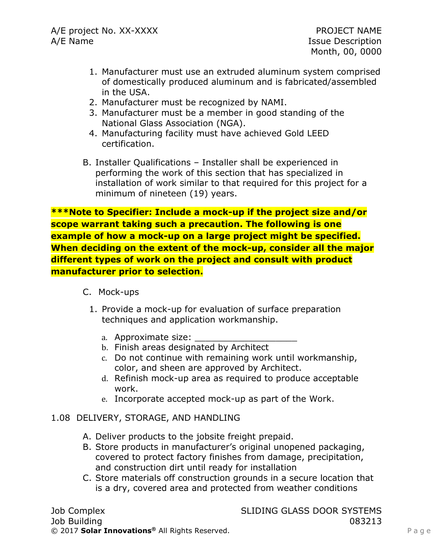- 1. Manufacturer must use an extruded aluminum system comprised of domestically produced aluminum and is fabricated/assembled in the USA.
- 2. Manufacturer must be recognized by NAMI.
- 3. Manufacturer must be a member in good standing of the National Glass Association (NGA).
- 4. Manufacturing facility must have achieved Gold LEED certification.
- B. Installer Qualifications Installer shall be experienced in performing the work of this section that has specialized in installation of work similar to that required for this project for a minimum of nineteen (19) years.

**\*\*\*Note to Specifier: Include a mock-up if the project size and/or scope warrant taking such a precaution. The following is one example of how a mock-up on a large project might be specified. When deciding on the extent of the mock-up, consider all the major different types of work on the project and consult with product manufacturer prior to selection.**

- C. Mock-ups
	- 1. Provide a mock-up for evaluation of surface preparation techniques and application workmanship.
		- a. Approximate size:
		- b. Finish areas designated by Architect
		- c. Do not continue with remaining work until workmanship, color, and sheen are approved by Architect.
		- d. Refinish mock-up area as required to produce acceptable work.
		- e. Incorporate accepted mock-up as part of the Work.
- 1.08 DELIVERY, STORAGE, AND HANDLING
	- A. Deliver products to the jobsite freight prepaid.
	- B. Store products in manufacturer's original unopened packaging, covered to protect factory finishes from damage, precipitation, and construction dirt until ready for installation
	- C. Store materials off construction grounds in a secure location that is a dry, covered area and protected from weather conditions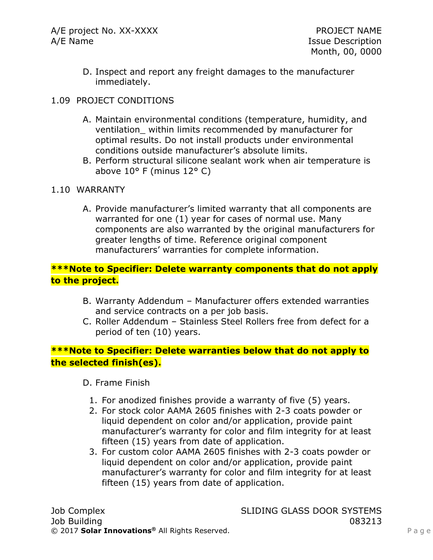D. Inspect and report any freight damages to the manufacturer immediately.

## 1.09 PROJECT CONDITIONS

- A. Maintain environmental conditions (temperature, humidity, and ventilation\_ within limits recommended by manufacturer for optimal results. Do not install products under environmental conditions outside manufacturer's absolute limits.
- B. Perform structural silicone sealant work when air temperature is above 10° F (minus 12° C)

## 1.10 WARRANTY

A. Provide manufacturer's limited warranty that all components are warranted for one (1) year for cases of normal use. Many components are also warranted by the original manufacturers for greater lengths of time. Reference original component manufacturers' warranties for complete information.

## **\*\*\*Note to Specifier: Delete warranty components that do not apply to the project.**

- B. Warranty Addendum Manufacturer offers extended warranties and service contracts on a per job basis.
- C. Roller Addendum Stainless Steel Rollers free from defect for a period of ten (10) years.

## **\*\*\*Note to Specifier: Delete warranties below that do not apply to the selected finish(es).**

D. Frame Finish

- 1. For anodized finishes provide a warranty of five (5) years.
- 2. For stock color AAMA 2605 finishes with 2-3 coats powder or liquid dependent on color and/or application, provide paint manufacturer's warranty for color and film integrity for at least fifteen (15) years from date of application.
- 3. For custom color AAMA 2605 finishes with 2-3 coats powder or liquid dependent on color and/or application, provide paint manufacturer's warranty for color and film integrity for at least fifteen (15) years from date of application.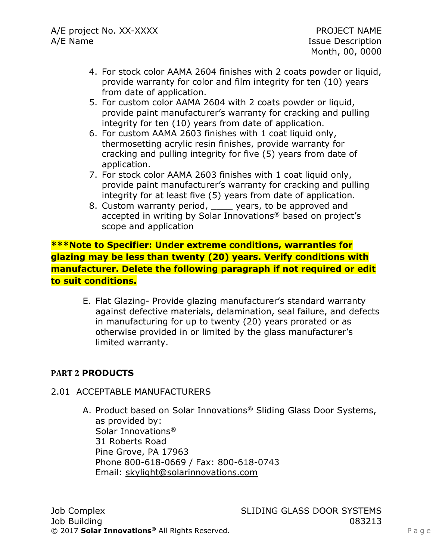- 4. For stock color AAMA 2604 finishes with 2 coats powder or liquid, provide warranty for color and film integrity for ten (10) years from date of application.
- 5. For custom color AAMA 2604 with 2 coats powder or liquid, provide paint manufacturer's warranty for cracking and pulling integrity for ten (10) years from date of application.
- 6. For custom AAMA 2603 finishes with 1 coat liquid only, thermosetting acrylic resin finishes, provide warranty for cracking and pulling integrity for five (5) years from date of application.
- 7. For stock color AAMA 2603 finishes with 1 coat liquid only, provide paint manufacturer's warranty for cracking and pulling integrity for at least five (5) years from date of application.
- 8. Custom warranty period, \_\_\_\_ years, to be approved and accepted in writing by Solar Innovations® based on project's scope and application

**\*\*\*Note to Specifier: Under extreme conditions, warranties for glazing may be less than twenty (20) years. Verify conditions with manufacturer. Delete the following paragraph if not required or edit to suit conditions.**

E. Flat Glazing- Provide glazing manufacturer's standard warranty against defective materials, delamination, seal failure, and defects in manufacturing for up to twenty (20) years prorated or as otherwise provided in or limited by the glass manufacturer's limited warranty.

## **PART 2 PRODUCTS**

### 2.01 ACCEPTABLE MANUFACTURERS

A. Product based on Solar Innovations® Sliding Glass Door Systems, as provided by: Solar Innovations® 31 Roberts Road Pine Grove, PA 17963 Phone 800-618-0669 / Fax: 800-618-0743 Email: [skylight@solarinnovations.com](mailto:skylight@solarinnovations.com)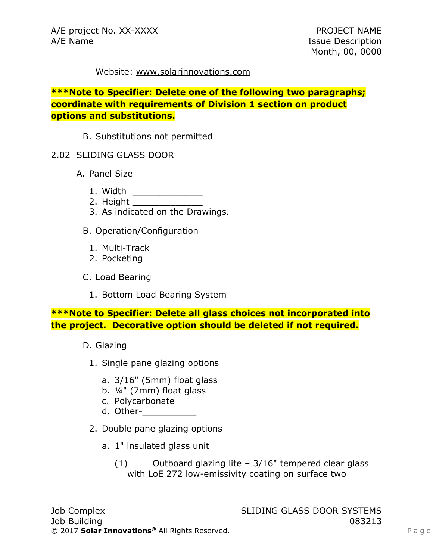#### Website: [www.solarinnovations.com](http://www.solarinnovations.com/)

**\*\*\*Note to Specifier: Delete one of the following two paragraphs; coordinate with requirements of Division 1 section on product options and substitutions.**

- B. Substitutions not permitted
- 2.02 SLIDING GLASS DOOR
	- A. Panel Size
		- 1. Width \_\_\_\_\_\_\_\_\_\_\_\_\_
		- 2. Height \_\_\_\_\_\_\_\_\_\_\_\_\_
		- 3. As indicated on the Drawings.
		- B. Operation/Configuration
			- 1. Multi-Track
			- 2. Pocketing
		- C. Load Bearing
			- 1. Bottom Load Bearing System

**\*\*\*Note to Specifier: Delete all glass choices not incorporated into the project. Decorative option should be deleted if not required.**

- D. Glazing
	- 1. Single pane glazing options
		- a. 3/16" (5mm) float glass
		- b. ¼" (7mm) float glass
		- c. Polycarbonate
		- d. Other-\_\_\_\_\_\_\_\_\_\_
	- 2. Double pane glazing options
		- a. 1" insulated glass unit
			- $(1)$  Outboard glazing lite 3/16" tempered clear glass with LoE 272 low-emissivity coating on surface two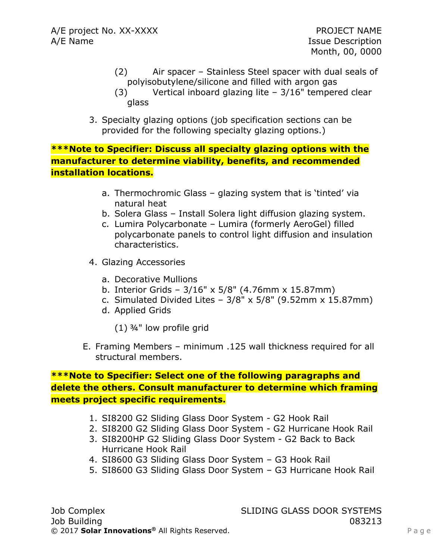- (2) Air spacer Stainless Steel spacer with dual seals of polyisobutylene/silicone and filled with argon gas
- (3) Vertical inboard glazing lite 3/16" tempered clear glass
- 3. Specialty glazing options (job specification sections can be provided for the following specialty glazing options.)

**\*\*\*Note to Specifier: Discuss all specialty glazing options with the manufacturer to determine viability, benefits, and recommended installation locations.**

- a. Thermochromic Glass glazing system that is 'tinted' via natural heat
- b. Solera Glass Install Solera light diffusion glazing system.
- c. Lumira Polycarbonate Lumira (formerly AeroGel) filled polycarbonate panels to control light diffusion and insulation characteristics.
- 4. Glazing Accessories
	- a. Decorative Mullions
	- b. Interior Grids 3/16" x 5/8" (4.76mm x 15.87mm)
	- c. Simulated Divided Lites  $3/8$ " x  $5/8$ " (9.52mm x 15.87mm)
	- d. Applied Grids
		- (1) ¾" low profile grid
- E. Framing Members minimum .125 wall thickness required for all structural members.

## **\*\*\*Note to Specifier: Select one of the following paragraphs and delete the others. Consult manufacturer to determine which framing meets project specific requirements.**

- 1. SI8200 G2 Sliding Glass Door System G2 Hook Rail
- 2. SI8200 G2 Sliding Glass Door System G2 Hurricane Hook Rail
- 3. SI8200HP G2 Sliding Glass Door System G2 Back to Back Hurricane Hook Rail
- 4. SI8600 G3 Sliding Glass Door System G3 Hook Rail
- 5. SI8600 G3 Sliding Glass Door System G3 Hurricane Hook Rail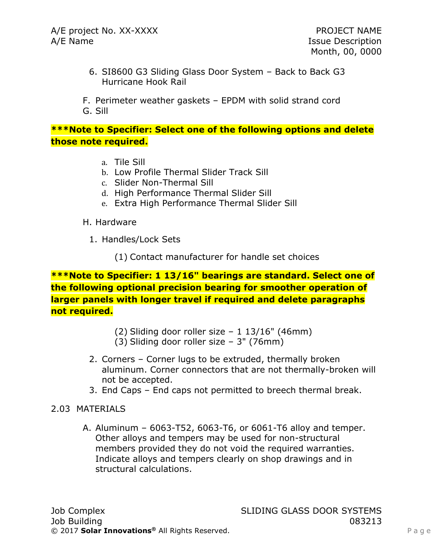6. SI8600 G3 Sliding Glass Door System – Back to Back G3 Hurricane Hook Rail

F. Perimeter weather gaskets – EPDM with solid strand cord G. Sill

## **\*\*\*Note to Specifier: Select one of the following options and delete those note required.**

- a. Tile Sill
- b. Low Profile Thermal Slider Track Sill
- c. Slider Non-Thermal Sill
- d. High Performance Thermal Slider Sill
- e. Extra High Performance Thermal Slider Sill
- H. Hardware
	- 1. Handles/Lock Sets
		- (1) Contact manufacturer for handle set choices

**\*\*\*Note to Specifier: 1 13/16" bearings are standard. Select one of the following optional precision bearing for smoother operation of larger panels with longer travel if required and delete paragraphs not required.**

- (2) Sliding door roller size  $-1$  13/16" (46mm)
- (3) Sliding door roller size 3" (76mm)
- 2. Corners Corner lugs to be extruded, thermally broken aluminum. Corner connectors that are not thermally-broken will not be accepted.
- 3. End Caps End caps not permitted to breech thermal break.

### 2.03 MATERIALS

A. Aluminum – 6063-T52, 6063-T6, or 6061-T6 alloy and temper. Other alloys and tempers may be used for non-structural members provided they do not void the required warranties. Indicate alloys and tempers clearly on shop drawings and in structural calculations.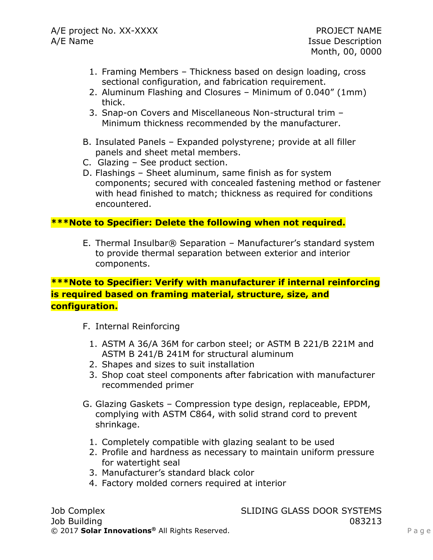- 1. Framing Members Thickness based on design loading, cross sectional configuration, and fabrication requirement.
- 2. Aluminum Flashing and Closures Minimum of 0.040" (1mm) thick.
- 3. Snap-on Covers and Miscellaneous Non-structural trim Minimum thickness recommended by the manufacturer.
- B. Insulated Panels Expanded polystyrene; provide at all filler panels and sheet metal members.
- C. Glazing See product section.
- D. Flashings Sheet aluminum, same finish as for system components; secured with concealed fastening method or fastener with head finished to match; thickness as required for conditions encountered.

## **\*\*\*Note to Specifier: Delete the following when not required.**

E. Thermal Insulbar® Separation – Manufacturer's standard system to provide thermal separation between exterior and interior components.

## **\*\*\*Note to Specifier: Verify with manufacturer if internal reinforcing is required based on framing material, structure, size, and configuration.**

- F. Internal Reinforcing
	- 1. ASTM A 36/A 36M for carbon steel; or ASTM B 221/B 221M and ASTM B 241/B 241M for structural aluminum
	- 2. Shapes and sizes to suit installation
	- 3. Shop coat steel components after fabrication with manufacturer recommended primer
- G. Glazing Gaskets Compression type design, replaceable, EPDM, complying with ASTM C864, with solid strand cord to prevent shrinkage.
	- 1. Completely compatible with glazing sealant to be used
	- 2. Profile and hardness as necessary to maintain uniform pressure for watertight seal
	- 3. Manufacturer's standard black color
	- 4. Factory molded corners required at interior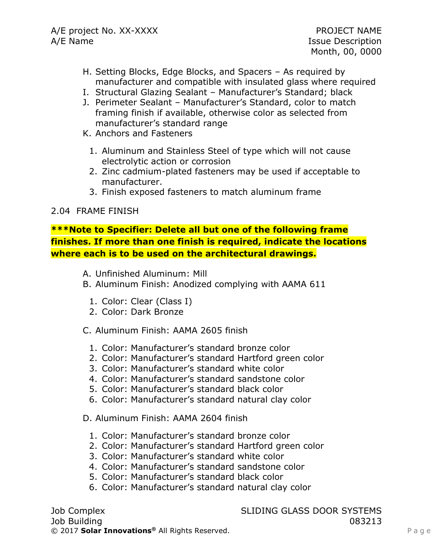- H. Setting Blocks, Edge Blocks, and Spacers As required by manufacturer and compatible with insulated glass where required
- I. Structural Glazing Sealant Manufacturer's Standard; black
- J. Perimeter Sealant Manufacturer's Standard, color to match framing finish if available, otherwise color as selected from manufacturer's standard range
- K. Anchors and Fasteners
	- 1. Aluminum and Stainless Steel of type which will not cause electrolytic action or corrosion
	- 2. Zinc cadmium-plated fasteners may be used if acceptable to manufacturer.
	- 3. Finish exposed fasteners to match aluminum frame

### 2.04 FRAME FINISH

**\*\*\*Note to Specifier: Delete all but one of the following frame finishes. If more than one finish is required, indicate the locations where each is to be used on the architectural drawings.**

- A. Unfinished Aluminum: Mill
- B. Aluminum Finish: Anodized complying with AAMA 611
	- 1. Color: Clear (Class I)
	- 2. Color: Dark Bronze

C. Aluminum Finish: AAMA 2605 finish

- 1. Color: Manufacturer's standard bronze color
- 2. Color: Manufacturer's standard Hartford green color
- 3. Color: Manufacturer's standard white color
- 4. Color: Manufacturer's standard sandstone color
- 5. Color: Manufacturer's standard black color
- 6. Color: Manufacturer's standard natural clay color

D. Aluminum Finish: AAMA 2604 finish

- 1. Color: Manufacturer's standard bronze color
- 2. Color: Manufacturer's standard Hartford green color
- 3. Color: Manufacturer's standard white color
- 4. Color: Manufacturer's standard sandstone color
- 5. Color: Manufacturer's standard black color
- 6. Color: Manufacturer's standard natural clay color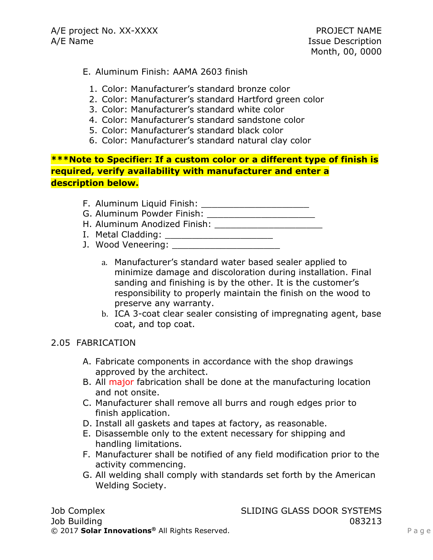## E. Aluminum Finish: AAMA 2603 finish

- 1. Color: Manufacturer's standard bronze color
- 2. Color: Manufacturer's standard Hartford green color
- 3. Color: Manufacturer's standard white color
- 4. Color: Manufacturer's standard sandstone color
- 5. Color: Manufacturer's standard black color
- 6. Color: Manufacturer's standard natural clay color

**\*\*\*Note to Specifier: If a custom color or a different type of finish is required, verify availability with manufacturer and enter a description below.**

- F. Aluminum Liquid Finish: \_\_\_\_\_\_\_\_\_\_\_\_\_\_\_\_\_\_\_\_
- G. Aluminum Powder Finish: \_\_\_\_\_\_\_\_\_\_\_\_\_\_\_\_\_\_\_\_
- H. Aluminum Anodized Finish: \_\_\_\_\_\_\_\_\_\_\_\_\_\_\_\_\_\_\_\_
- I. Metal Cladding: \_\_\_\_\_\_\_\_\_\_\_\_\_\_\_\_\_\_\_\_
- J. Wood Veneering: \_\_\_\_\_\_\_\_\_\_\_\_\_\_\_\_\_\_\_\_
	- a. Manufacturer's standard water based sealer applied to minimize damage and discoloration during installation. Final sanding and finishing is by the other. It is the customer's responsibility to properly maintain the finish on the wood to preserve any warranty.
	- b. ICA 3-coat clear sealer consisting of impregnating agent, base coat, and top coat.

## 2.05 FABRICATION

- A. Fabricate components in accordance with the shop drawings approved by the architect.
- B. All major fabrication shall be done at the manufacturing location and not onsite.
- C. Manufacturer shall remove all burrs and rough edges prior to finish application.
- D. Install all gaskets and tapes at factory, as reasonable.
- E. Disassemble only to the extent necessary for shipping and handling limitations.
- F. Manufacturer shall be notified of any field modification prior to the activity commencing.
- G. All welding shall comply with standards set forth by the American Welding Society.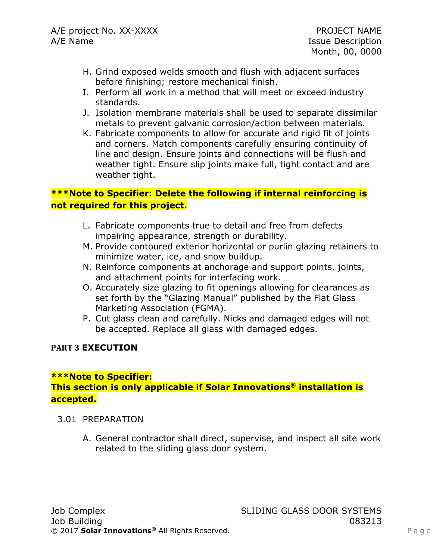- H. Grind exposed welds smooth and flush with adjacent surfaces before finishing; restore mechanical finish.
- I. Perform all work in a method that will meet or exceed industry standards.
- J. Isolation membrane materials shall be used to separate dissimilar metals to prevent galvanic corrosion/action between materials.
- K. Fabricate components to allow for accurate and rigid fit of joints and corners. Match components carefully ensuring continuity of line and design. Ensure joints and connections will be flush and weather tight. Ensure slip joints make full, tight contact and are weather tight.

## **\*\*\*Note to Specifier: Delete the following if internal reinforcing is not required for this project.**

- L. Fabricate components true to detail and free from defects impairing appearance, strength or durability.
- M. Provide contoured exterior horizontal or purlin glazing retainers to minimize water, ice, and snow buildup.
- N. Reinforce components at anchorage and support points, joints, and attachment points for interfacing work.
- O. Accurately size glazing to fit openings allowing for clearances as set forth by the "Glazing Manual" published by the Flat Glass Marketing Association (FGMA).
- P. Cut glass clean and carefully. Nicks and damaged edges will not be accepted. Replace all glass with damaged edges.

### **PART 3 EXECUTION**

### **\*\*\*Note to Specifier: This section is only applicable if Solar Innovations® installation is accepted.**

- 3.01 PREPARATION
	- A. General contractor shall direct, supervise, and inspect all site work related to the sliding glass door system.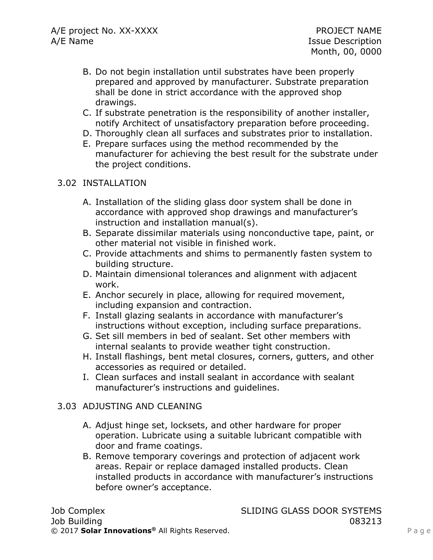- B. Do not begin installation until substrates have been properly prepared and approved by manufacturer. Substrate preparation shall be done in strict accordance with the approved shop drawings.
- C. If substrate penetration is the responsibility of another installer, notify Architect of unsatisfactory preparation before proceeding.
- D. Thoroughly clean all surfaces and substrates prior to installation.
- E. Prepare surfaces using the method recommended by the manufacturer for achieving the best result for the substrate under the project conditions.

## 3.02 INSTALLATION

- A. Installation of the sliding glass door system shall be done in accordance with approved shop drawings and manufacturer's instruction and installation manual(s).
- B. Separate dissimilar materials using nonconductive tape, paint, or other material not visible in finished work.
- C. Provide attachments and shims to permanently fasten system to building structure.
- D. Maintain dimensional tolerances and alignment with adjacent work.
- E. Anchor securely in place, allowing for required movement, including expansion and contraction.
- F. Install glazing sealants in accordance with manufacturer's instructions without exception, including surface preparations.
- G. Set sill members in bed of sealant. Set other members with internal sealants to provide weather tight construction.
- H. Install flashings, bent metal closures, corners, gutters, and other accessories as required or detailed.
- I. Clean surfaces and install sealant in accordance with sealant manufacturer's instructions and guidelines.

## 3.03 ADJUSTING AND CLEANING

- A. Adjust hinge set, locksets, and other hardware for proper operation. Lubricate using a suitable lubricant compatible with door and frame coatings.
- B. Remove temporary coverings and protection of adjacent work areas. Repair or replace damaged installed products. Clean installed products in accordance with manufacturer's instructions before owner's acceptance.